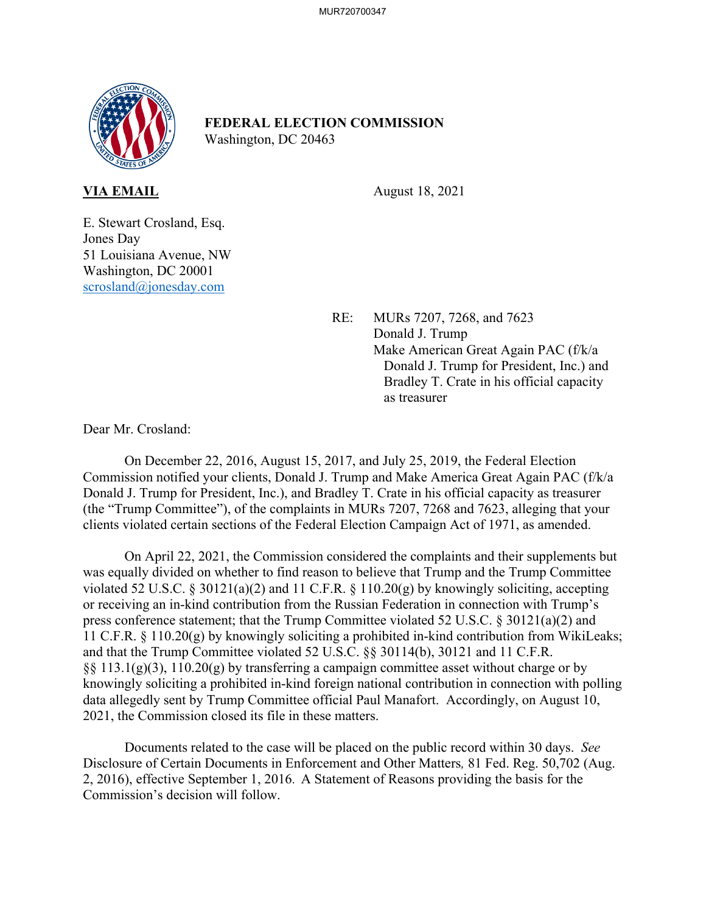

## **FEDERAL ELECTION COMMISSION** Washington, DC 20463

**VIA EMAIL** August 18, 2021

E. Stewart Crosland, Esq. Jones Day 51 Louisiana Avenue, NW Washington, DC 20001 scrosland@jonesday.com

> RE: MURs 7207, 7268, and 7623 Donald J. Trump Make American Great Again PAC (f/k/a Donald J. Trump for President, Inc.) and Bradley T. Crate in his official capacity as treasurer

Dear Mr. Crosland:

On December 22, 2016, August 15, 2017, and July 25, 2019, the Federal Election Commission notified your clients, Donald J. Trump and Make America Great Again PAC (f/k/a Donald J. Trump for President, Inc.), and Bradley T. Crate in his official capacity as treasurer (the "Trump Committee"), of the complaints in MURs 7207, 7268 and 7623, alleging that your clients violated certain sections of the Federal Election Campaign Act of 1971, as amended.

On April 22, 2021, the Commission considered the complaints and their supplements but was equally divided on whether to find reason to believe that Trump and the Trump Committee violated 52 U.S.C. § 30121(a)(2) and 11 C.F.R. § 110.20(g) by knowingly soliciting, accepting or receiving an in-kind contribution from the Russian Federation in connection with Trump's press conference statement; that the Trump Committee violated 52 U.S.C. § 30121(a)(2) and 11 C.F.R. § 110.20(g) by knowingly soliciting a prohibited in-kind contribution from WikiLeaks; and that the Trump Committee violated 52 U.S.C. §§ 30114(b), 30121 and 11 C.F.R.  $\S$ § 113.1(g)(3), 110.20(g) by transferring a campaign committee asset without charge or by knowingly soliciting a prohibited in-kind foreign national contribution in connection with polling data allegedly sent by Trump Committee official Paul Manafort. Accordingly, on August 10, 2021, the Commission closed its file in these matters.

Documents related to the case will be placed on the public record within 30 days. *See*  Disclosure of Certain Documents in Enforcement and Other Matters*,* 81 Fed. Reg. 50,702 (Aug. 2, 2016), effective September 1, 2016. A Statement of Reasons providing the basis for the Commission's decision will follow.